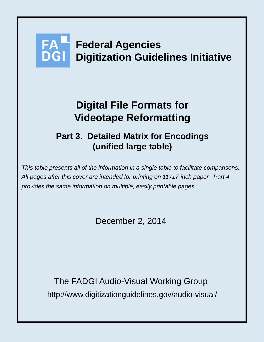# **Federal Agencies Digitization Guidelines Initiative**

## **Digital File Formats for Videotape Reformatting**

### **Part 3. Detailed Matrix for Encodings (unified large table)**

*This table presents all of the information in a single table to facilitate comparisons. All pages after this cover are intended for printing on 11x17-inch paper. Part 4 provides the same information on multiple, easily printable pages.*

December 2, 2014

http://www.digitizationguidelines.gov/audio-visual/ The FADGI Audio-Visual Working Group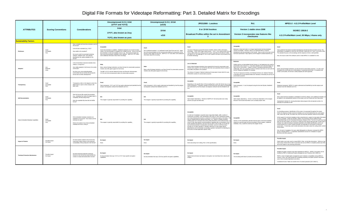| <b>ATTRIBUTES</b>                     | <b>Scoring Conventions</b>   | <b>Considerations</b>                                                                                                                                                                                                                                                                   | Uncompressed 4:2:2, 8-bit<br>(UYVY and YUY2)                                                                                                                                                                                                                                                                                                                                                 | Uncompressed 4:2:2, 10-bit<br>(v210)                                                                                                                                                                                                                                          | JPEG2000 - Lossless                                                                                                                                                                                                                                                                                                                                                                                                                                                                                                                                                                                                                                                                                                                                                                                                                                                                                                                                           | ffv1                                                                                                                                                                                                                                                                                                                                                                                                                                                                                                                                                                                          | MPEG-2 - 4:2:2 Profile/Main Level                                                                                                                                                                                                                                                                                                                                                                                                                                                                                                                                                                                                                                                                                                                                                                                                                                                                                                                                                                                                                                                                                                                                                                                                                  |
|---------------------------------------|------------------------------|-----------------------------------------------------------------------------------------------------------------------------------------------------------------------------------------------------------------------------------------------------------------------------------------|----------------------------------------------------------------------------------------------------------------------------------------------------------------------------------------------------------------------------------------------------------------------------------------------------------------------------------------------------------------------------------------------|-------------------------------------------------------------------------------------------------------------------------------------------------------------------------------------------------------------------------------------------------------------------------------|---------------------------------------------------------------------------------------------------------------------------------------------------------------------------------------------------------------------------------------------------------------------------------------------------------------------------------------------------------------------------------------------------------------------------------------------------------------------------------------------------------------------------------------------------------------------------------------------------------------------------------------------------------------------------------------------------------------------------------------------------------------------------------------------------------------------------------------------------------------------------------------------------------------------------------------------------------------|-----------------------------------------------------------------------------------------------------------------------------------------------------------------------------------------------------------------------------------------------------------------------------------------------------------------------------------------------------------------------------------------------------------------------------------------------------------------------------------------------------------------------------------------------------------------------------------------------|----------------------------------------------------------------------------------------------------------------------------------------------------------------------------------------------------------------------------------------------------------------------------------------------------------------------------------------------------------------------------------------------------------------------------------------------------------------------------------------------------------------------------------------------------------------------------------------------------------------------------------------------------------------------------------------------------------------------------------------------------------------------------------------------------------------------------------------------------------------------------------------------------------------------------------------------------------------------------------------------------------------------------------------------------------------------------------------------------------------------------------------------------------------------------------------------------------------------------------------------------|
|                                       |                              |                                                                                                                                                                                                                                                                                         | 8-bit<br>UYVY, also known as 2vuy<br>YUY2, also known as yuvs                                                                                                                                                                                                                                                                                                                                | 10-bit<br>v210                                                                                                                                                                                                                                                                | 8 or 10-bit lossless<br><b>Broadcast Profiles within the set in Amendment</b><br>-3                                                                                                                                                                                                                                                                                                                                                                                                                                                                                                                                                                                                                                                                                                                                                                                                                                                                           | Version 1 stable since 2006<br>Version 3 incorporates new features like<br>checksums                                                                                                                                                                                                                                                                                                                                                                                                                                                                                                          | <b>ISO/IEC 13818-2</b><br>4:2:2 Profile/Main Level, 50 Mbps, I-frame only                                                                                                                                                                                                                                                                                                                                                                                                                                                                                                                                                                                                                                                                                                                                                                                                                                                                                                                                                                                                                                                                                                                                                                          |
| <b>Sustainability Factors</b>         |                              |                                                                                                                                                                                                                                                                                         |                                                                                                                                                                                                                                                                                                                                                                                              |                                                                                                                                                                                                                                                                               |                                                                                                                                                                                                                                                                                                                                                                                                                                                                                                                                                                                                                                                                                                                                                                                                                                                                                                                                                               |                                                                                                                                                                                                                                                                                                                                                                                                                                                                                                                                                                                               |                                                                                                                                                                                                                                                                                                                                                                                                                                                                                                                                                                                                                                                                                                                                                                                                                                                                                                                                                                                                                                                                                                                                                                                                                                                    |
| <b>Disclosure</b>                     | Good<br>Acceptable<br>Poor   | Does complete technical documentation exist fo<br>this format?<br>Is the format a standard (e.g., ISO)?<br>How stable is the standard?<br>Are source code for associated rendering<br>software, validation tools, and software<br>development kits widely available for this<br>format? | Acceptable<br>Some documentation is available. Published standards do not exist for these<br>codecs, but documentation is available from multiple sources. Some of the be-<br>documentation is brief and available at fource.org. Microsoft and Apple also<br>have some documentation available at their websites. SMPTF ST 377 offers<br>some additional information about these encodings. | Not a published standard. It is attributed to both QuickTime and AJA. Apple<br>has some documentation on the structure and ordering of components of this<br>format on their Apple Ice Floe site. SMPTE ST 377 also offers some additiona<br>information about this encoding. | Two sets of disclosure around this format: ISO/IEC 15444-1:2004. Information<br>technology -- JPEG 2000 image coding system -- Part 1: Core coding system (form<br>name): JPEG 2000 core coding (common name), especially the Broadcast Profiles.<br>and SMPTE ST 422 (although ST 422 is MXF-specific and does not yet specify how<br>to handle interlacing).                                                                                                                                                                                                                                                                                                                                                                                                                                                                                                                                                                                                | Acceptabl<br>Bitstream is fixed and codec is no longer experimental, but documentation<br>remains incomplete. However, there is an organized effort to continue<br>development and documentation of this format. Here is a link to the most recer<br>technical specification: https://github.com/FFmpeg/FFV1/blob/master/ffv1.lyx                                                                                                                                                                                                                                                             | Open published international standard developed by the Moving Picture Experts Group. The<br>specification is available for a fee from ISO (ISO/IEC 13818 and ITU-T Rec. H.222 and H.262).<br>The standard focuses on the encodings and the sequence of bits is well-specified.<br>Also, the source code of the software used to create MPEG-2 is available for a fee.                                                                                                                                                                                                                                                                                                                                                                                                                                                                                                                                                                                                                                                                                                                                                                                                                                                                              |
|                                       | Moderate<br>Wide             | Is this format likely to become obsolete short,<br>medium, or long-term?<br>How widely adopted is the format in the vendo<br>community?<br>Are there user communities/developer<br>communities that are actively discussing the<br>format and its further development?                  | Wide<br>Many cultural heritage institutions use these formats for preservation purpose<br>Vendors also offer good support for the format.<br>The BBC (UYVY) and the National Archives and Records Administration<br>(YUY2) use 8-bit uncompressed codecs for preservation purposes.                                                                                                          | Many cultural heritage institutions use these formats for preservation purpose<br>Vendors also offer good support for the format.                                                                                                                                             | Low to Moderate<br>Some cultural heritage institutions have selected this format for preservation work<br>Vendors also support it, but sometimes offer their own proprietary flavors instead of<br>the profiles articulated in the standard.<br>The Library of Congress' National Audiovisual Conservation Center (NAVCC) uses<br>JPEG2000 Lossless for preservation purposes                                                                                                                                                                                                                                                                                                                                                                                                                                                                                                                                                                                 | Moderate<br>Initially used as an intermediate format (Version 1), but beginning to be used for<br>preservation work (Version 3). It has been adopted in the cultural heritage and<br>open-source communities. Usage in Europe is spreading especially quickly.<br>Additionally, there are a growing number of software tools that can work with the<br>format- ffmpeg and MediaInfo, for example.<br>The City of Vancouver Archives, the National Archives UK, National Televisio<br>of Slovakia (RTVS and National Radio and Television of Slovenia) all use ffv1 fo<br>preservation purpose | Some cultural heritage institutions use this format for preservation purposes. It is also used<br>throughout the community as an intermediate or mezzanine-level format. In broadcast and<br>vendor communities, the format is widely adopted and well-supported.                                                                                                                                                                                                                                                                                                                                                                                                                                                                                                                                                                                                                                                                                                                                                                                                                                                                                                                                                                                  |
| Transparency                          | Good<br>Acceptable           | Transparency refers to the degree to which the<br>digital object is open to direct analysis with<br>basic tools                                                                                                                                                                         | Fairly transparent. UYVY and YUY2 are easily understood and identified free f<br>analysis and playback software like MediaInfo and VLC.                                                                                                                                                                                                                                                      | Fairly transparent. v210 is easily understood and identified by free file analysis<br>and playback software like Medialnfo and VLC.                                                                                                                                           | Acceptable<br>Depending on the specific flavor of the encoding that is used, this format may or ma<br>not be transparent. Proprietary varieties of the format may not be able to be identified<br>and understood by free file analysis and playback software tools like MediaInfo and<br>VI C                                                                                                                                                                                                                                                                                                                                                                                                                                                                                                                                                                                                                                                                 | Acceptabl<br>Fairly transparent. It can be analyzed using the free tools ffprobe, MediaInfo<br>and VI C.                                                                                                                                                                                                                                                                                                                                                                                                                                                                                      | Good<br>Relatively transparent. MPEG-2 is easily understood and identified by free file analysis and<br>playback tools like MediaInfo and VLC                                                                                                                                                                                                                                                                                                                                                                                                                                                                                                                                                                                                                                                                                                                                                                                                                                                                                                                                                                                                                                                                                                      |
| <b>Self-Documentation</b>             | Good<br>Acceptable           | Does the format offer ample documentation<br>(e.g., metadata) that makes the digital object a<br>completely self-describing entity?<br>Does the metadata fully describe the file/file<br>format?                                                                                        | N/A<br>The wrapper is typically responsible for providing this capability.                                                                                                                                                                                                                                                                                                                   | N/f<br>The wrapper is typically responsible for providing this capability.                                                                                                                                                                                                    | Acceptable<br>High wrapper dependency. Revision of SMPTE ST 422 will provide more clarity<br>around scan type and field order.                                                                                                                                                                                                                                                                                                                                                                                                                                                                                                                                                                                                                                                                                                                                                                                                                                | Acceptable<br>High wrapper dependency. Version 3 will be less dependent on the wrapper<br>because it will include information such as display aspect ratio.                                                                                                                                                                                                                                                                                                                                                                                                                                   | Most critical technical metadata is embedded in the file by default, some additional metadata can<br>be added in non-standardized sections of the stream such as Private and User Data areas.<br>Standardized methods for carrying descriptive data (program title and episode number, for<br>example) are specified as well.                                                                                                                                                                                                                                                                                                                                                                                                                                                                                                                                                                                                                                                                                                                                                                                                                                                                                                                      |
| Native Embedded Metadata Capabilities | Good<br>Acceptable<br>Poor   | What embedded metadata standards are<br>available for this format? How mature are the<br>schemas for each?<br>What is the extent of use of the embedded<br>metadata and who is using it?                                                                                                | N/A<br>The wrapper is typically responsible for providing this capability.                                                                                                                                                                                                                                                                                                                   | $N/\ell$<br>The wrapper is typically responsible for providing this capability.                                                                                                                                                                                               | Acceptable<br>A small set of metadata is required: basic image data (height, width, number of<br>components, bit-depth); color specification (see notes on color maintenance below)<br>and a flag indicating the presence or absence of intellectual property information. This<br>may be supplemented by optional information, e.g., capture or display resolution<br>(relating pixel size to physical size) and by data presented in three optional boxes: (<br>a box for XML data (specific recommendations regarding XML are provided in Part 2<br>of the standard and pertain to JPX but may be used in JP2 as well). (2) an IPR box<br>(see technical protection considerations just below), and (3) a UUID box which<br>provides for an object identifier or identifier-references to other digital objects.<br>(described by one commentator as providing a generic mechanism for extending the<br>file format to include application-specific data). | Acceptable<br>Section 4 of the specification indicates that the types of technical metadata<br>required to read and play the file are provided in frame headers. Additional<br>metadata, if any, would be carried by the wrapper format                                                                                                                                                                                                                                                                                                                                                       | For decoding purposes, identification of the syntax is incorporated throughout the stream.<br>Within the Sequence Header technical metadata such as horizontal/vertical size, pixel aspect<br>ratio, frame rate, bit rate, vbv buffer size, and intra and inter quantizer matrices are provided.<br>While support for technical metadata is fairly comprehensive, support for descriptive information<br>is not as complete. Within the ISO/IEC 13818-1 two provisions exist for adding Private<br>(unspecified) Data into the Packetized Elementary Streams (PES). The first is to add the private<br>data into the PES header; the second is to utilize the PES packet data byte field. Private Data is<br>however not coded according to standards specified in the 13818 specification, and its use<br>would therefore be a custom solution possibly not preferable for the purpose of long-term<br>preservation. Private data could include descriptive information about the coding and/or content<br>of the stream<br>Also, the lack of metadata of the type called bibliographic by librarians motivated the MPEG<br>group to develop MPEG-7, a separately standardized structure for metadata to support<br>discovery and other purposes. |
| <b>Impact of Patents</b>              | Possible Impact<br>No Impact | Are there patents related to this format that<br>could have a direct impact on the long-term<br>sustainability of files produced in this format?                                                                                                                                        | No Impact<br>None                                                                                                                                                                                                                                                                                                                                                                            | No Impac<br>None                                                                                                                                                                                                                                                              | No Impact<br>None (assuming Core Coding, Part 1 of the specification)                                                                                                                                                                                                                                                                                                                                                                                                                                                                                                                                                                                                                                                                                                                                                                                                                                                                                         | No Impact<br>None                                                                                                                                                                                                                                                                                                                                                                                                                                                                                                                                                                             | Possible Impact<br>Patent rights cover tools used to create MPEG-2 files, not the files themselves. While you may<br>have to pay a license fee in order to purchase and use an MPEG-2 compliant product your files<br>will not be subject to any licensing restrictions.                                                                                                                                                                                                                                                                                                                                                                                                                                                                                                                                                                                                                                                                                                                                                                                                                                                                                                                                                                           |
| <b>Technical Protection Mechanisn</b> | Possible Impact<br>No Impact | Are there technical protection measures<br>inherent to this format that would prohibit the<br>creation of ample derivatives/other formats?                                                                                                                                              | No Impact<br>No documentation that says YUY2 or UYVY have specific encryption<br>capabilities.                                                                                                                                                                                                                                                                                               | No Impact<br>No documentation that says v210 has specific encryption capabilities.                                                                                                                                                                                            | No Impac<br>Digital Cinema formats rely heavily on encryption, but most likely this is done by the<br>wrapper                                                                                                                                                                                                                                                                                                                                                                                                                                                                                                                                                                                                                                                                                                                                                                                                                                                 | No Impact<br>The encoding itself doesn't provide technical protections.                                                                                                                                                                                                                                                                                                                                                                                                                                                                                                                       | Possible Impact<br>Multiple encryption schemes have been developed for MPEG-2. MPEG-2 encryption can be<br>handled by IPMP or Intellectual Property Management and Protection (ISO 13818-11).<br>IPMP is a form of digital rights management and it maintains compatibility among MPEG-2<br>systems. Other, less wide-spread and completely proprietary encryption systems have been<br>used, these included DigiCipherII and others.<br>Conditional Access Tables are another form of content protection (ISO 13818-1).                                                                                                                                                                                                                                                                                                                                                                                                                                                                                                                                                                                                                                                                                                                           |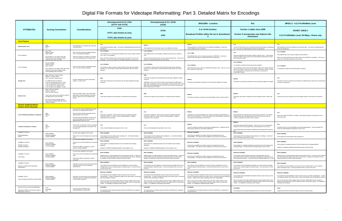|                                                                         |                                                                                                                                                                                                |                                                                                                                                                                                                                           | Uncompressed 4:2:2, 8-bit<br>(UYVY and YUY2)                                                                                                                                                                                    | Uncompressed 4:2:2, 10-bit<br>(v210)                                                                                                                                                                                                                                                            | JPEG2000 - Lossless                                                                                                                                                                                                                                               | ffv1                                                                                                                                                                                                                                                                     | MPEG-2 - 4:2:2 Profile/Main Level                                                                                                                                                                                              |
|-------------------------------------------------------------------------|------------------------------------------------------------------------------------------------------------------------------------------------------------------------------------------------|---------------------------------------------------------------------------------------------------------------------------------------------------------------------------------------------------------------------------|---------------------------------------------------------------------------------------------------------------------------------------------------------------------------------------------------------------------------------|-------------------------------------------------------------------------------------------------------------------------------------------------------------------------------------------------------------------------------------------------------------------------------------------------|-------------------------------------------------------------------------------------------------------------------------------------------------------------------------------------------------------------------------------------------------------------------|--------------------------------------------------------------------------------------------------------------------------------------------------------------------------------------------------------------------------------------------------------------------------|--------------------------------------------------------------------------------------------------------------------------------------------------------------------------------------------------------------------------------|
| <b>ATTRIBUTES</b>                                                       | <b>Scoring Conventions</b>                                                                                                                                                                     | <b>Considerations</b>                                                                                                                                                                                                     | 8-bit                                                                                                                                                                                                                           | 10-bit                                                                                                                                                                                                                                                                                          | 8 or 10-bit lossless                                                                                                                                                                                                                                              | Version 1 stable since 2006                                                                                                                                                                                                                                              | <b>ISO/IEC 13818-2</b>                                                                                                                                                                                                         |
|                                                                         |                                                                                                                                                                                                |                                                                                                                                                                                                                           | UYVY, also known as 2vuy                                                                                                                                                                                                        | v <sub>210</sub>                                                                                                                                                                                                                                                                                | <b>Broadcast Profiles within the set in Amendment</b><br>-3                                                                                                                                                                                                       | Version 3 incorporates new features like<br>checksums                                                                                                                                                                                                                    | 4:2:2 Profile/Main Level, 50 Mbps, I-frame only                                                                                                                                                                                |
| <b>Cost Factors</b>                                                     |                                                                                                                                                                                                |                                                                                                                                                                                                                           | YUY2, also known as yuvs                                                                                                                                                                                                        |                                                                                                                                                                                                                                                                                                 |                                                                                                                                                                                                                                                                   |                                                                                                                                                                                                                                                                          |                                                                                                                                                                                                                                |
|                                                                         |                                                                                                                                                                                                |                                                                                                                                                                                                                           | Low                                                                                                                                                                                                                             |                                                                                                                                                                                                                                                                                                 | Medium                                                                                                                                                                                                                                                            | Low                                                                                                                                                                                                                                                                      | Low                                                                                                                                                                                                                            |
| <b>Implementation Cost</b>                                              | High<br>Medium<br>I OW                                                                                                                                                                         | How expensive is it to capture, edit, store and<br>move these files?                                                                                                                                                      | Well-supported and fairly simple. The costs for implementing these formats are<br>typically low.                                                                                                                                | Medium<br>Well-supported, but format does require some additional overhead.                                                                                                                                                                                                                     | Well-supported by commercial tools, but somewhat complicated. Format may<br>require additional costs to implement                                                                                                                                                 | Comes out of the open source community and tools that support it are generally<br>free. The costs for implementing this format are typically low.                                                                                                                        | Well-supported by both free software and commercial tools. The costs for implementing this<br>format are typically low                                                                                                         |
| Cost of Software                                                        | Low= Free<br>Medium= \$500+<br>High= \$1000+                                                                                                                                                   | How much does capture and editing software<br>cost? Is free software available?                                                                                                                                           | Low to Medium<br>Free software such as ffmpeg and VirtualDub can be used to capture and edit<br>UYVY and YUY2 encodings.                                                                                                        | Low to Medium<br>Free software tools such as ffmpeg, VirtualDub and vrecord can capture to<br>v210                                                                                                                                                                                              | Low to High                                                                                                                                                                                                                                                       | Low<br>Some free software tools have been created to capture to ffy1. These include                                                                                                                                                                                      | <b>Low to Medium</b><br>Free software tools can be used to capture and edit MPEG-2.                                                                                                                                            |
|                                                                         | Even though you can capture video with<br>software alone, robust hardware makes<br>capturing video faster and better.                                                                          | (With the exception of VirtualDub, all software<br>must be accompanied by an encoding card.)                                                                                                                              | Many commercial software tools can also capture and edit UYVY and YUY2<br>encodings. The cost can range from moderately inexpensive to fairly pricey.                                                                           | Many commercial software tools can also capture and edit v210. The cost car<br>range from moderately inexpensive to fairly pricey.                                                                                                                                                              | Free software tools such as vrecord can capture to JPEG2000. Commercial<br>software tools that capture to JPEG2000 tend to be fairly pricey.                                                                                                                      | vrecord, the BBC's Ingex system and Austrian National Audio/Video Archive's<br>DVA-Profession system                                                                                                                                                                     | Many commercial software tools can also capture and edit MPEG-2 encodings. The cost can<br>range from moderately inexpensive to fairly pricey.                                                                                 |
|                                                                         | Low=up to \$1000<br>Medium= \$1000+                                                                                                                                                            |                                                                                                                                                                                                                           | Low to Medium                                                                                                                                                                                                                   | Low to Medium                                                                                                                                                                                                                                                                                   | Low to Medium                                                                                                                                                                                                                                                     | Low to Medium<br>It is possible to create this format with generic hardware.                                                                                                                                                                                             |                                                                                                                                                                                                                                |
| Cost of Hardware                                                        | High= \$10000+<br>Even though you can capture video with cheap<br>hardware, more robust hardware makes<br>capturing/editing faster and better.                                                 | How much does capture and editing hardware<br>cost? Are low-cost tools sufficient?                                                                                                                                        | It is possible to capture to these formats with fairly cheap, generic hardware<br>However, you may be able to achieve better performance with more robust<br>hardware.                                                          | It is possible to capture to this format with fairly cheap, generic hardware.<br>However, you may be able to achieve better performance with more robust<br>hardware.                                                                                                                           | Most of the tools used to capture to JPEG2000 will require a fee. The cost can vary<br>from moderate to fairly pricey                                                                                                                                             | Also interesting to note is that of all the lossless codecs, ffv1 requires the least<br>amount of computer resources for transcoding. Specifically, it takes 4-6 times<br>less computing time to transcode from an ffv1 file to a mezzanine or<br>intermediate file type | Low to Medium<br>It is possible to create this format with generic hardware.                                                                                                                                                   |
|                                                                         | High= More than 1 GB per minute<br>Medium= 1 GB per minute<br>Low= Less than 1 GB per minute                                                                                                   |                                                                                                                                                                                                                           | High                                                                                                                                                                                                                            | High<br>These files are large and uncompressed; they will require significant storage                                                                                                                                                                                                           |                                                                                                                                                                                                                                                                   | Medium                                                                                                                                                                                                                                                                   | Low                                                                                                                                                                                                                            |
| <b>Storage Cost</b>                                                     | For additional frame of reference:<br>1 hour of uncompressed 10-bit = 94 GB<br>1 hour of uncompressed 8-bit =72 GB<br>1 hour of J2K or ffv1 = about 53 GB<br>1 hour of MPEG-2 @ 50Mbps = 23 GB | Are files created in this format usually large,<br>medium, or small in size?                                                                                                                                              | These files are large and uncompressed; they will require significant storage<br>resources.                                                                                                                                     | resources<br>Additionally, v210 is one of the few codecs that actually adds padding bits; it<br>adds 2 bits of padding for every 3 10-bit samples. Because of this 10-bit in v21<br>takes 33% more storage space than raw 8-bit, even more than the presumed<br>20% increase from 8 to 10-bits. | These files are losslessly compressed so they will require slightly less storage.                                                                                                                                                                                 | These files are losslessly compressed so they will require slightly less storage                                                                                                                                                                                         | These files use lossy compression and will take up significantly less space than uncompressed<br>or lossless compression                                                                                                       |
|                                                                         | High= More than real-time<br>Medium= Real-time<br>Low= Less than real-time                                                                                                                     |                                                                                                                                                                                                                           |                                                                                                                                                                                                                                 |                                                                                                                                                                                                                                                                                                 |                                                                                                                                                                                                                                                                   |                                                                                                                                                                                                                                                                          |                                                                                                                                                                                                                                |
| <b>Network Cost</b>                                                     | These costs may be more sensitive to scale of<br>throughput than to size of the files.                                                                                                         | Does the transfer of files in this format affect<br>performance of internal networks to the point<br>where it would cost more to implement this                                                                           | High<br>These files are large and may slowdown or overwhelm internal networks                                                                                                                                                   | High<br>These files are large and may slowdown or overwhelm internal networks.                                                                                                                                                                                                                  | Mediun<br>These files use lossless compression and will probably transfer in about real-time.                                                                                                                                                                     | Medium<br>These files use lossless compression and will probably transfer in about real-                                                                                                                                                                                 | Low<br>These files use lossy compression and will probably transfer at rates faster than real-time.                                                                                                                            |
|                                                                         | We are assuming an average network<br>infrastructure, probably GigE with close to<br>1Gbps throughput.                                                                                         | format?                                                                                                                                                                                                                   |                                                                                                                                                                                                                                 |                                                                                                                                                                                                                                                                                                 |                                                                                                                                                                                                                                                                   | time.                                                                                                                                                                                                                                                                    |                                                                                                                                                                                                                                |
| <b>System Implementation</b><br><b>Factors (Full Lifecycle)</b>         |                                                                                                                                                                                                |                                                                                                                                                                                                                           |                                                                                                                                                                                                                                 |                                                                                                                                                                                                                                                                                                 |                                                                                                                                                                                                                                                                   |                                                                                                                                                                                                                                                                          |                                                                                                                                                                                                                                |
|                                                                         |                                                                                                                                                                                                | Given all of the system implementation factors<br>how hard is it to implement this format?                                                                                                                                |                                                                                                                                                                                                                                 |                                                                                                                                                                                                                                                                                                 |                                                                                                                                                                                                                                                                   |                                                                                                                                                                                                                                                                          |                                                                                                                                                                                                                                |
| Level of difficulty/complexity to implement                             | Medium<br>Low                                                                                                                                                                                  | What is the level of effort associated with the<br>implementation of this format?<br>Are there special requirements for this format<br>that would change the nominal workflow for<br>digitization/information life cycle? | Low<br>Fairly easy to implement. Both commercial and free software tools offer<br>consistent support for a variety of tasks including playback, metadata<br>manipulation and transcoding.                                       | Low<br>Fairly easy to implement. Both commercial and free software tools offer<br>consistent support for a variety of tasks including playback, metadata<br>manipulation and transcoding.                                                                                                       | Lingering issues with interoperability and a range of proprietary implementations of<br>this format are problematic. Commercial software tools will probably be required and<br>may support only limited flavors of the format.                                   | Medium<br>Well-supported and understood in the open source community. The cultural<br>heritage community is gaining familiarity with the format and commercial<br>vendors are beginning to release tools to support it.                                                  | Many tools support the MPEG-2 encoding. More advanced features will require the use of<br>commercial tools.                                                                                                                    |
| <b>Technical Complexity of Toolsets</b>                                 | Medium<br>Low                                                                                                                                                                                  | Are the tools command-line meant for engineers<br>or GUI-centered applications accessible to the<br>average user?                                                                                                         | Low<br>Tools are well-developed and typically run from a GUI.                                                                                                                                                                   | Low<br>Tools are well-developed and typically run from a GUI.                                                                                                                                                                                                                                   | Mediun<br>Format is somewhat complex and will require specialized tools. Familiarity with the<br>format will be required to successfully implement it.                                                                                                            | Medium<br>Some tools require technical expertise. They may run from a command-line<br>instead of a GUI and may require less common platforms such as Linux.<br>Commercials tools that are easier to implement are becoming more numerous<br>also                         | Low<br>Familiarity with this format will facilitate successful implementation. Tools that support this<br>format are well-developed and typically run from a GUI.                                                              |
| Availability of Tools for:                                              | Wide availability                                                                                                                                                                              | Are there tools available for this format?                                                                                                                                                                                | <b>Wide Availability</b>                                                                                                                                                                                                        | <b>Wide Availability</b>                                                                                                                                                                                                                                                                        | <b>Moderate Availability</b>                                                                                                                                                                                                                                      | <b>Wide Availability</b>                                                                                                                                                                                                                                                 | <b>Wide Availability</b>                                                                                                                                                                                                       |
| Rendering/playback<br>Editing                                           | Moderate availability<br>Limited availability                                                                                                                                                  | What is the mix of free software and comme<br>tools?                                                                                                                                                                      | Good support from free software tools including VLC. Commercial software<br>usually supports this format as well.                                                                                                               | Good support from free software tools including VLC. Commercial software<br>usually supports this format as well.                                                                                                                                                                               | Some tools are available, but support varies due to lingering issues with<br>interoperability. The majority of tools available for this format are commercial.                                                                                                    | Good support from free software tools including VLC and ffplay. Commercial<br>tools increasingly support the ffv1 codec.                                                                                                                                                 | Good support from free software tools including VLC.                                                                                                                                                                           |
|                                                                         |                                                                                                                                                                                                | Are there tools available for this format?                                                                                                                                                                                | <b>Wide Availability</b>                                                                                                                                                                                                        | <b>Wide Availability</b>                                                                                                                                                                                                                                                                        |                                                                                                                                                                                                                                                                   |                                                                                                                                                                                                                                                                          | <b>Wide Availability</b>                                                                                                                                                                                                       |
| Availability of Tools for:<br>Metadata extraction                       | Wide availability<br>Moderate availability                                                                                                                                                     | What is the mix of free software and commero<br>tools?                                                                                                                                                                    | Good support for metadata extraction from free software tools including<br><i>AediaInfo</i>                                                                                                                                     | Good support for metadata extraction from free software tools including<br>MediaInfo                                                                                                                                                                                                            | <b>Moderate Availability</b><br>Some tools are available, but support varies due to lingering issues with                                                                                                                                                         | <b>Wide Availability</b><br>Good support for metadata embedding and extraction from free software tools                                                                                                                                                                  | Good support for metadata extraction from free software tools including MediaInfo.                                                                                                                                             |
| Metadata embedding                                                      | Limited availability                                                                                                                                                                           | What level of effort is necessary in order to<br>extract or embed metadata?                                                                                                                                               | Support for metadata embedding depends on the wrapper in use.                                                                                                                                                                   | Support for metadata embedding depends on the wrapper in use.                                                                                                                                                                                                                                   | interoperability. The majority of tools available for this format are commercial.                                                                                                                                                                                 | including ffmpeg. Commercial tools increasingly support the ffv1 codec.                                                                                                                                                                                                  | Support for metadata embedding will probably require commercial tools.                                                                                                                                                         |
|                                                                         |                                                                                                                                                                                                | Are there tools available for this format?                                                                                                                                                                                | <b>Wide Availability</b>                                                                                                                                                                                                        | <b>Wide Availability</b>                                                                                                                                                                                                                                                                        | <b>Moderate Availability</b>                                                                                                                                                                                                                                      | <b>Moderate Availability</b>                                                                                                                                                                                                                                             | <b>Wide Availability</b>                                                                                                                                                                                                       |
| Availability of Tools for:                                              | Wide availability<br>Moderate availability<br>Limited availability                                                                                                                             | What is the mix of free software and commero<br>tools?                                                                                                                                                                    | Relatively easy to create derivatives and new preservation formats. A good mix<br>of free and commercial software tools can transcode from this format. ffmpeg is                                                               | Relatively easy to create derivatives and new preservation formats. A good mi:<br>of free software and commercial tools support transcodes from this format.                                                                                                                                    | Some tools are available, but support varies due to lingering issues with                                                                                                                                                                                         | Free software tools like ffmpeg could easily create derivatives and new<br>preservation formats if there is the technical knowledge and experience to use                                                                                                                | Relatively easy to create derivatives and new preservation formats. A good mix of free software<br>and commercial tools support transcodes from this format. ffmpeg is an example of an free                                   |
| Transcoding                                                             |                                                                                                                                                                                                | What level of effort is necessary in order to<br>transcode?                                                                                                                                                               | an example of a free tool that can perform these transcodes.                                                                                                                                                                    | ffmpeg is an example of a free tool that can perform these transcodes.                                                                                                                                                                                                                          | interoperability. The majority of tools available for this format are commercial.                                                                                                                                                                                 | the command line interface. Commercial tools increasingly support ffv1 as well.                                                                                                                                                                                          | software tool that can perform these transcodes.                                                                                                                                                                               |
| Availability of Tools to:                                               | Wide availability                                                                                                                                                                              | How easy is it to ensure that you are producin                                                                                                                                                                            | <b>Wide Availability</b>                                                                                                                                                                                                        | <b>Wide Availability</b>                                                                                                                                                                                                                                                                        | <b>Wide Availability</b>                                                                                                                                                                                                                                          | <b>Wide Availability</b>                                                                                                                                                                                                                                                 | <b>Wide Availability</b>                                                                                                                                                                                                       |
| Measure Compliance with Institutional<br>Specifications                 | Moderate availability<br>Limited availability                                                                                                                                                  | a file that conforms to your institutional<br>specifications?                                                                                                                                                             | Free software tools like MediaInfo and AVI MetaEdit can extract technical<br>metadata which can be compared against institutional specs. Commercial tools<br>can also do this work                                              | Free software tools like MediaInfo can extract technical metadata which can be<br>compared against institutional specs. Commercial software tools can also do<br>this work.                                                                                                                     | Free software tools like MediaInfo can extract technical metadata which can be<br>compared against institutional specs. Commercial software tools can also do this                                                                                                | Free software tools like MediaInfo and fforobe can extract technical metadata<br>which can be compared against institutional specs. Commercial tools can also<br>do this work.                                                                                           | Free software tools like Medialnfo can extract technical metadata which can be compared<br>against institutional specs. Commercial software tools can also do this work.                                                       |
|                                                                         |                                                                                                                                                                                                |                                                                                                                                                                                                                           | <b>Moderate Availability</b>                                                                                                                                                                                                    | <b>Moderate Availability</b>                                                                                                                                                                                                                                                                    | <b>Moderate Availability</b>                                                                                                                                                                                                                                      | <b>Moderate Availability</b>                                                                                                                                                                                                                                             | <b>Moderate Availability</b>                                                                                                                                                                                                   |
| Availability Tools to:<br>Tools to Evaluate and Monitor Content Quality | Wide availability<br>Moderate availability<br>Limited availability                                                                                                                             | How easy is it to ensure that you are producin<br>a file that conforms to broadcast specifications<br>or other quality measures?                                                                                          | Free software tools like MediaInfo could be used to ensure correct file<br>characteristics. In order to evaluate the quality of the video content, commerc<br>tools will probably be required.                                  | Free software tools like MediaInfo could be used to ensure correct file<br>characteristics. In order to evaluate the quality of the video content, commer<br>software tools will probably be required.                                                                                          | Free software tools like Medialnfo could be used to ensure correct file characteristics<br>In order to evaluate the quality of the video content, commercial tools will probably be<br>required. Support will vary due to lingering issues with interoperability. | Free software tools like MediaInfo and ffprobe could be used to ensure correct<br>file characteristics.                                                                                                                                                                  | Free software tools like MediaInfo could be used to ensure correct file characteristics. In order<br>to evaluate the quality of the video content, commercial software tools will probably be required.                        |
|                                                                         |                                                                                                                                                                                                |                                                                                                                                                                                                                           | Also of note, Bay Area Video Coalition (Bay Area Video Coalition (BAVC)) led a<br>project to develop a free software tool to perform quality control on actual video<br>content. It is available for download at their website. | Also of note, Bay Area Video Coalition (Bay Area Video Coalition (BAVC)) led a<br>project to develop a free software tool to perform quality control on actual video<br>content. It is available for download at their website.                                                                 | Also of note, Bay Area Video Coalition (Bay Area Video Coalition (BAVC)) led a<br>project to develop a free software tool to perform quality control on actual video<br>content. It is available for download at their website.                                   | Also of note, Bay Area Video Coalition (Bay Area Video Coalition (BAVC)) led a<br>project to develop a free software tool to perform quality control on actual video<br>content. It is available for download at their website.                                          | Also of note, Bay Area Video Coalition (Bay Area Video Coalition (BAVC)) led a project to<br>develop a free software tool to perform quality control on actual video content. It is available for<br>download at their website |
| Ease and Accuracy of Format Identification                              | Good                                                                                                                                                                                           | Can the format be identified using                                                                                                                                                                                        | Acceptable                                                                                                                                                                                                                      | Acceptable                                                                                                                                                                                                                                                                                      | Acceptable                                                                                                                                                                                                                                                        | Acceptable                                                                                                                                                                                                                                                               |                                                                                                                                                                                                                                |
| (Defined by JHOVE as the format to which a<br>digital object conforms)  | Acceptable<br>Poor                                                                                                                                                                             | DROID/PRONOM or other tools?                                                                                                                                                                                              | Not supported by free software tools like JHOVE and DROID but is supported<br>by commercial tools                                                                                                                               | Not supported by free software tools like JHOVE and DROID but is supported<br>by commercial tools                                                                                                                                                                                               | Not supported by free software tools like JHOVE and DROID but is supported by<br>commercial tools                                                                                                                                                                 | Not supported by free software identification tools like JHOVE and DROID.                                                                                                                                                                                                | Supported by DROID (x/fmt 385 and 386) as well as commercial tools.                                                                                                                                                            |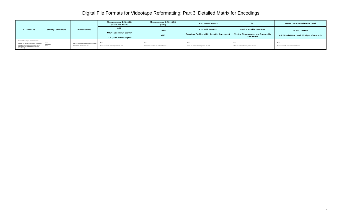4

| <b>ATTRIBUTES</b>                                                                                                                                                                                         | <b>Scoring Conventions</b> | <b>Considerations</b>                                                          | Uncompressed 4:2:2, 8-bit<br>(UYVY and YUY2)                  | Uncompressed 4:2:2, 10-bit<br>(v210)                   | JPEG2000 - Lossless                                                           | ffv1                                                                                 | MPEG-2 - 4:2:2 Profile/Main Level                                         |
|-----------------------------------------------------------------------------------------------------------------------------------------------------------------------------------------------------------|----------------------------|--------------------------------------------------------------------------------|---------------------------------------------------------------|--------------------------------------------------------|-------------------------------------------------------------------------------|--------------------------------------------------------------------------------------|---------------------------------------------------------------------------|
|                                                                                                                                                                                                           |                            |                                                                                | 8-bit<br>UYVY, also known as 2vuy<br>YUY2, also known as yuvs | 10-bit<br>v210                                         | 8 or 10-bit lossless<br><b>Broadcast Profiles within the set in Amendment</b> | Version 1 stable since 2006<br>Version 3 incorporates new features like<br>checksums | <b>ISO/IEC 13818-2</b><br>4:2:2 Profile/Main Level, 50 Mbps, I-frame only |
| Ease and Accuracy of Format Validation<br>(Defined by JHOVE as the level of compliance<br>of a digital object to the specification for its<br>purported format. Validation includes well-<br>formedness.) | Good<br>Acceptable<br>Poor | Does the format specification include concepts<br>and methods for conformance? | Poor<br>There are no tools that can perform this task.        | Poor<br>There are no tools that can perform this task. | Poor<br>There are no tools that can perform this task.                        | Poor<br>There are no tools that can perform this task.                               | Poor<br>There are no tools that can perform this task.                    |